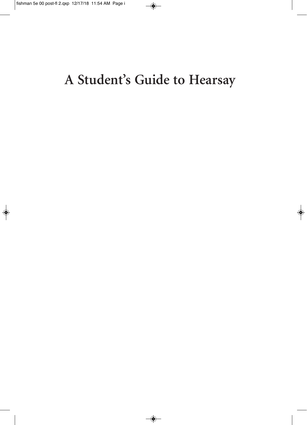# A Student's Guide to Hearsay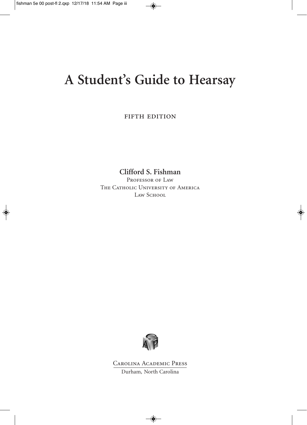## **A Student's Guide to Hearsay**

FIFTH EDITION

**Clifford S. Fishman**

PROFESSOR OF LAW THE CATHOLIC UNIVERSITY OF AMERICA LAW SCHOOL



Carolina Academic Press Durham, North Carolina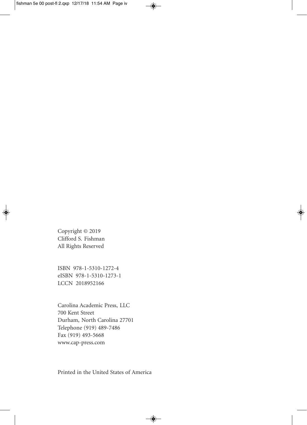Copyright © 2019 Clifford S. Fishman All Rights Reserved

ISBN 978-1-5310-1272-4 eISBN 978-1-5310-1273-1 LCCN 2018952166

Carolina Academic Press, LLC 700 Kent Street Durham, North Carolina 27701 Telephone (919) 489-7486 Fax (919) 493-5668 www.cap-press.com

Printed in the United States of America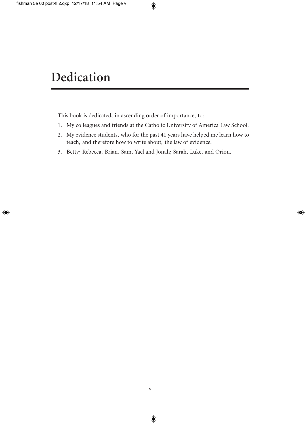#### **Dedication**

This book is dedicated, in ascending order of importance, to:

- 1. My colleagues and friends at the Catholic University of America Law School.
- 2. My evidence students, who for the past 41 years have helped me learn how to teach, and therefore how to write about, the law of evidence.
- 3. Betty; Rebecca, Brian, Sam, Yael and Jonah; Sarah, Luke, and Orion.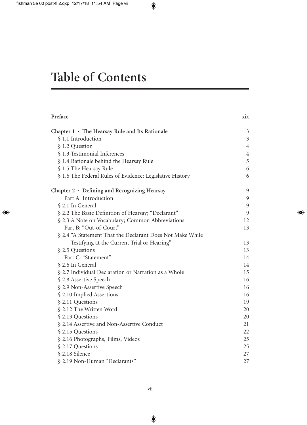### **Table of Contents**

| Preface                                                   | X1X            |
|-----------------------------------------------------------|----------------|
| Chapter $1 \cdot$ The Hearsay Rule and Its Rationale      | 3              |
| § 1.1 Introduction                                        | 3              |
| § 1.2 Question                                            | $\overline{4}$ |
| § 1.3 Testimonial Inferences                              | $\overline{4}$ |
| § 1.4 Rationale behind the Hearsay Rule                   | 5              |
| § 1.5 The Hearsay Rule                                    | 6              |
| § 1.6 The Federal Rules of Evidence; Legislative History  | 6              |
| Chapter 2 · Defining and Recognizing Hearsay              | 9              |
| Part A: Introduction                                      | 9              |
| § 2.1 In General                                          | 9              |
| § 2.2 The Basic Definition of Hearsay; "Declarant"        | 9              |
| § 2.3 A Note on Vocabulary; Common Abbreviations          | 12             |
| Part B: "Out-of-Court"                                    | 13             |
| § 2.4 "A Statement That the Declarant Does Not Make While |                |
| Testifying at the Current Trial or Hearing"               | 13             |
| § 2.5 Questions                                           | 13             |
| Part C: "Statement"                                       | 14             |
| § 2.6 In General                                          | 14             |
| § 2.7 Individual Declaration or Narration as a Whole      | 15             |
| § 2.8 Assertive Speech                                    | 16             |
| § 2.9 Non-Assertive Speech                                | 16             |
| § 2.10 Implied Assertions                                 | 16             |
| § 2.11 Questions                                          | 19             |
| § 2.12 The Written Word                                   | 20             |
| § 2.13 Questions                                          | 20             |
| § 2.14 Assertive and Non-Assertive Conduct                | 21             |
| § 2.15 Questions                                          | 22             |
| § 2.16 Photographs, Films, Videos                         | 25             |
| § 2.17 Questions                                          | 25             |
| § 2.18 Silence                                            | 27             |
| § 2.19 Non-Human "Declarants"                             | 27             |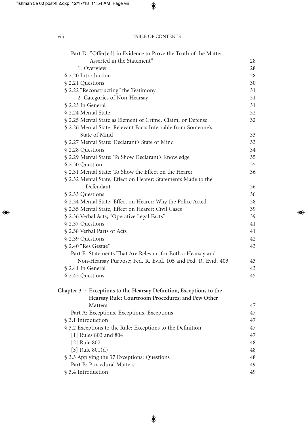| Part D: "Offer[ed] in Evidence to Prove the Truth of the Matter           |    |
|---------------------------------------------------------------------------|----|
| Asserted in the Statement"                                                | 28 |
| 1. Overview                                                               | 28 |
| § 2.20 Introduction                                                       | 28 |
| § 2.21 Questions                                                          | 30 |
| § 2.22 "Reconstructing" the Testimony                                     | 31 |
| 2. Categories of Non-Hearsay                                              | 31 |
| § 2.23 In General                                                         | 31 |
| § 2.24 Mental State                                                       | 32 |
| § 2.25 Mental State as Element of Crime, Claim, or Defense                | 32 |
| § 2.26 Mental State: Relevant Facts Inferrable from Someone's             |    |
| State of Mind                                                             | 33 |
| § 2.27 Mental State: Declarant's State of Mind                            | 33 |
| § 2.28 Questions                                                          | 34 |
| § 2.29 Mental State: To Show Declarant's Knowledge                        | 35 |
| § 2.30 Question                                                           | 35 |
| § 2.31 Mental State: To Show the Effect on the Hearer                     | 36 |
| § 2.32 Mental State, Effect on Hearer: Statements Made to the             |    |
| Defendant                                                                 | 36 |
| § 2.33 Questions                                                          | 36 |
| § 2.34 Mental State, Effect on Hearer: Why the Police Acted               | 38 |
| § 2.35 Mental State, Effect on Hearer: Civil Cases                        | 39 |
| § 2.36 Verbal Acts; "Operative Legal Facts"                               | 39 |
| § 2.37 Questions                                                          | 41 |
| § 2.38 Verbal Parts of Acts                                               | 41 |
| § 2.39 Questions                                                          | 42 |
| § 2.40 "Res Gestae"                                                       | 43 |
| Part E: Statements That Are Relevant for Both a Hearsay and               |    |
| Non-Hearsay Purpose; Fed. R. Evid. 105 and Fed. R. Evid. 403              | 43 |
| § 2.41 In General                                                         | 43 |
| § 2.42 Questions                                                          | 45 |
| Chapter $3 \cdot$ Exceptions to the Hearsay Definition, Exceptions to the |    |
| Hearsay Rule; Courtroom Procedures; and Few Other                         |    |
| <b>Matters</b>                                                            | 47 |
| Part A: Exceptions, Exceptions, Exceptions                                | 47 |
| § 3.1 Introduction                                                        | 47 |
| § 3.2 Exceptions to the Rule; Exceptions to the Definition                | 47 |
| [1] Rules 803 and 804                                                     | 47 |
| [2] Rule 807                                                              | 48 |
| [3] Rule $801(d)$                                                         | 48 |
| § 3.3 Applying the 37 Exceptions: Questions                               | 48 |
| Part B: Procedural Matters                                                | 49 |
| § 3.4 Introduction                                                        | 49 |
|                                                                           |    |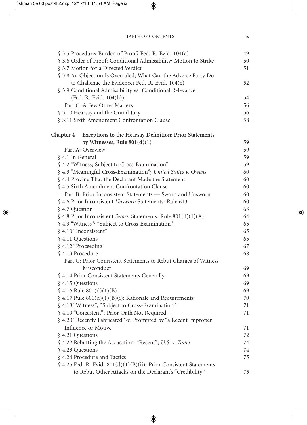| § 3.5 Procedure; Burden of Proof; Fed. R. Evid. 104(a)                   | 49 |
|--------------------------------------------------------------------------|----|
| § 3.6 Order of Proof; Conditional Admissibility; Motion to Strike        | 50 |
| § 3.7 Motion for a Directed Verdict                                      | 51 |
| § 3.8 An Objection Is Overruled; What Can the Adverse Party Do           |    |
| to Challenge the Evidence? Fed. R. Evid. 104(e)                          | 52 |
| § 3.9 Conditional Admissibility vs. Conditional Relevance                |    |
| (Fed. R. Evid. 104(b))                                                   | 54 |
| Part C: A Few Other Matters                                              | 56 |
| § 3.10 Hearsay and the Grand Jury                                        | 56 |
| § 3.11 Sixth Amendment Confrontation Clause                              | 58 |
| Chapter $4 \cdot$ Exceptions to the Hearsay Definition: Prior Statements |    |
| by Witnesses, Rule $801(d)(1)$                                           | 59 |
| Part A: Overview                                                         | 59 |
| § 4.1 In General                                                         | 59 |
| § 4.2 "Witness; Subject to Cross-Examination"                            | 59 |
| § 4.3 "Meaningful Cross-Examination"; United States v. Owens             | 60 |
| § 4.4 Proving That the Declarant Made the Statement                      | 60 |
| § 4.5 Sixth Amendment Confrontation Clause                               | 60 |
| Part B: Prior Inconsistent Statements - Sworn and Unsworn                | 60 |
| § 4.6 Prior Inconsistent Unsworn Statements: Rule 613                    | 60 |
| § 4.7 Question                                                           | 63 |
| § 4.8 Prior Inconsistent Sworn Statements: Rule $801(d)(1)(A)$           | 64 |
| § 4.9 "Witness"; "Subject to Cross-Examination"                          | 65 |
| § 4.10 "Inconsistent"                                                    | 65 |
| § 4.11 Questions                                                         | 65 |
| § 4.12 "Proceeding"                                                      | 67 |
| § 4.13 Procedure                                                         | 68 |
| Part C: Prior Consistent Statements to Rebut Charges of Witness          |    |
| Misconduct                                                               | 69 |
| § 4.14 Prior Consistent Statements Generally                             | 69 |
| § 4.15 Questions                                                         | 69 |
| $$4.16$ Rule $801(d)(1)(B)$                                              | 69 |
| $$4.17$ Rule $801(d)(1)(B)(i)$ : Rationale and Requirements              | 70 |
| § 4.18 "Witness"; "Subject to Cross-Examination"                         | 71 |
| § 4.19 "Consistent"; Prior Oath Not Required                             | 71 |
| § 4.20 "Recently Fabricated" or Prompted by "a Recent Improper           |    |
| Influence or Motive"                                                     | 71 |
| § 4.21 Questions                                                         | 72 |
| § 4.22 Rebutting the Accusation: "Recent"; U.S. v. Tome                  | 74 |
| § 4.23 Questions                                                         | 74 |
| § 4.24 Procedure and Tactics                                             | 75 |
| § 4.25 Fed. R. Evid. $801(d)(1)(B)(ii)$ : Prior Consistent Statements    |    |
| to Rebut Other Attacks on the Declarant's "Credibility"                  | 75 |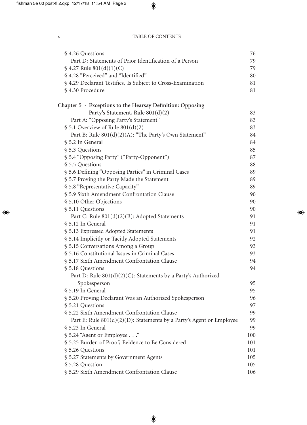| § 4.26 Questions                                                     | 76  |
|----------------------------------------------------------------------|-----|
| Part D: Statements of Prior Identification of a Person               | 79  |
| $$4.27$ Rule $801(d)(1)(C)$                                          | 79  |
| § 4.28 "Perceived" and "Identified"                                  | 80  |
| § 4.29 Declarant Testifies, Is Subject to Cross-Examination          | 81  |
| § 4.30 Procedure                                                     | 81  |
|                                                                      |     |
| Chapter $5 \cdot$ Exceptions to the Hearsay Definition: Opposing     |     |
| Party's Statement, Rule 801(d)(2)                                    | 83  |
| Part A: "Opposing Party's Statement"                                 | 83  |
| $$5.1$ Overview of Rule $801(d)(2)$                                  | 83  |
| Part B: Rule 801(d)(2)(A): "The Party's Own Statement"               | 84  |
| § 5.2 In General                                                     | 84  |
| § 5.3 Questions                                                      | 85  |
| § 5.4 "Opposing Party" ("Party-Opponent")                            | 87  |
| § 5.5 Questions                                                      | 88  |
| § 5.6 Defining "Opposing Parties" in Criminal Cases                  | 89  |
| § 5.7 Proving the Party Made the Statement                           | 89  |
| § 5.8 "Representative Capacity"                                      | 89  |
| § 5.9 Sixth Amendment Confrontation Clause                           | 90  |
| § 5.10 Other Objections                                              | 90  |
| § 5.11 Questions                                                     | 90  |
| Part C: Rule $801(d)(2)(B)$ : Adopted Statements                     | 91  |
| § 5.12 In General                                                    | 91  |
| § 5.13 Expressed Adopted Statements                                  | 91  |
| § 5.14 Implicitly or Tacitly Adopted Statements                      | 92  |
| § 5.15 Conversations Among a Group                                   | 93  |
| § 5.16 Constitutional Issues in Criminal Cases                       | 93  |
| § 5.17 Sixth Amendment Confrontation Clause                          | 94  |
| § 5.18 Questions                                                     | 94  |
| Part D: Rule $801(d)(2)(C)$ : Statements by a Party's Authorized     |     |
| Spokesperson                                                         | 95  |
| § 5.19 In General                                                    | 95  |
| § 5.20 Proving Declarant Was an Authorized Spokesperson              | 96  |
| § 5.21 Questions                                                     | 97  |
| § 5.22 Sixth Amendment Confrontation Clause                          | 99  |
| Part E: Rule 801(d)(2)(D): Statements by a Party's Agent or Employee | 99  |
| § 5.23 In General                                                    | 99  |
| § 5.24 "Agent or Employee"                                           | 100 |
| § 5.25 Burden of Proof; Evidence to Be Considered                    | 101 |
| § 5.26 Questions                                                     | 101 |
| § 5.27 Statements by Government Agents                               | 105 |
| § 5.28 Question                                                      | 105 |
| § 5.29 Sixth Amendment Confrontation Clause                          | 106 |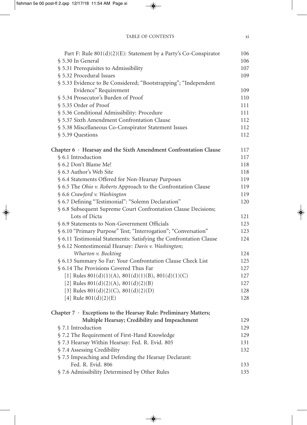| Part F: Rule $801(d)(2)(E)$ : Statement by a Party's Co-Conspirator    | 106 |
|------------------------------------------------------------------------|-----|
| § 5.30 In General                                                      | 106 |
| § 5.31 Prerequisites to Admissibility                                  | 107 |
| § 5.32 Procedural Issues                                               | 109 |
| § 5.33 Evidence to Be Considered; "Bootstrapping"; "Independent        |     |
| Evidence" Requirement                                                  | 109 |
| § 5.34 Prosecutor's Burden of Proof                                    | 110 |
| § 5.35 Order of Proof                                                  | 111 |
| § 5.36 Conditional Admissibility: Procedure                            | 111 |
| § 5.37 Sixth Amendment Confrontation Clause                            | 112 |
| § 5.38 Miscellaneous Co-Conspirator Statement Issues                   | 112 |
| § 5.39 Questions                                                       | 112 |
| Chapter $6 \cdot$ Hearsay and the Sixth Amendment Confrontation Clause | 117 |
| § 6.1 Introduction                                                     | 117 |
| § 6.2 Don't Blame Me!                                                  | 118 |
| § 6.3 Author's Web Site                                                | 118 |
| § 6.4 Statements Offered for Non-Hearsay Purposes                      | 119 |
| § 6.5 The Ohio v. Roberts Approach to the Confrontation Clause         | 119 |
| § 6.6 Crawford v. Washington                                           | 119 |
| § 6.7 Defining "Testimonial": "Solemn Declaration"                     | 120 |
| § 6.8 Subsequent Supreme Court Confrontation Clause Decisions;         |     |
| Lots of Dicta                                                          | 121 |
| § 6.9 Statements to Non-Government Officials                           | 123 |
| § 6.10 "Primary Purpose" Test; "Interrogation"; "Conversation"         | 123 |
| § 6.11 Testimonial Statements: Satisfying the Confrontation Clause     | 124 |
| § 6.12 Nontestimonial Hearsay: Davis v. Washington;                    |     |
| Wharton v. Bockting                                                    | 124 |
| § 6.13 Summary So Far: Your Confrontation Clause Check List            | 125 |
| § 6.14 The Provisions Covered Thus Far                                 | 127 |
| [1] Rules $801(d)(1)(A)$ , $801(d)(1)(B)$ , $801(d)(1)(C)$             | 127 |
| [2] Rules $801(d)(2)(A)$ , $801(d)(2)(B)$                              | 127 |
| [3] Rules $801(d)(2)(C)$ , $801(d)(2)(D)$                              | 128 |
| [4] Rule $801(d)(2)(E)$                                                | 128 |
| Chapter $7 \cdot$ Exceptions to the Hearsay Rule: Preliminary Matters; |     |
| Multiple Hearsay; Credibility and Impeachment                          | 129 |
| § 7.1 Introduction                                                     | 129 |
| § 7.2 The Requirement of First-Hand Knowledge                          | 129 |
| § 7.3 Hearsay Within Hearsay: Fed. R. Evid. 805                        | 131 |
| § 7.4 Assessing Credibility                                            | 132 |
| § 7.5 Impeaching and Defending the Hearsay Declarant:                  |     |
| Fed. R. Evid. 806                                                      | 133 |
| § 7.6 Admissibility Determined by Other Rules                          | 135 |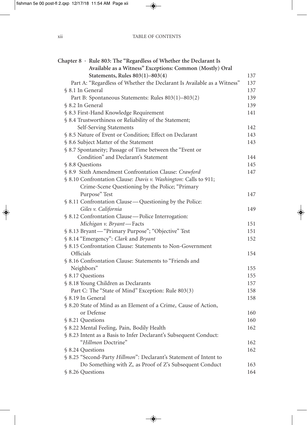| Chapter 8 · Rule 803: The "Regardless of Whether the Declarant Is       |     |
|-------------------------------------------------------------------------|-----|
| Available as a Witness" Exceptions: Common (Mostly) Oral                |     |
| Statements, Rules 803(1)-803(4)                                         | 137 |
| Part A: "Regardless of Whether the Declarant Is Available as a Witness" | 137 |
| § 8.1 In General                                                        | 137 |
| Part B: Spontaneous Statements: Rules 803(1)-803(2)                     | 139 |
| § 8.2 In General                                                        | 139 |
| § 8.3 First-Hand Knowledge Requirement                                  | 141 |
| § 8.4 Trustworthiness or Reliability of the Statement;                  |     |
| Self-Serving Statements                                                 | 142 |
| § 8.5 Nature of Event or Condition; Effect on Declarant                 | 143 |
| § 8.6 Subject Matter of the Statement                                   | 143 |
| § 8.7 Spontaneity; Passage of Time between the "Event or                |     |
| Condition" and Declarant's Statement                                    | 144 |
| § 8.8 Questions                                                         | 145 |
| § 8.9 Sixth Amendment Confrontation Clause: Crawford                    | 147 |
| § 8.10 Confrontation Clause: Davis v. Washington: Calls to 911;         |     |
| Crime-Scene Questioning by the Police; "Primary                         |     |
| Purpose" Test                                                           | 147 |
| § 8.11 Confrontation Clause — Questioning by the Police:                |     |
| Giles v. California                                                     | 149 |
| § 8.12 Confrontation Clause—Police Interrogation:                       |     |
| Michigan v. Bryant-Facts                                                | 151 |
| § 8.13 Bryant-"Primary Purpose"; "Objective" Test                       | 151 |
| § 8.14 "Emergency": Clark and Bryant                                    | 152 |
| § 8.15 Confrontation Clause: Statements to Non-Government               |     |
| Officials                                                               | 154 |
| § 8.16 Confrontation Clause: Statements to "Friends and                 |     |
| Neighbors"                                                              | 155 |
| § 8.17 Questions                                                        | 155 |
| § 8.18 Young Children as Declarants                                     | 157 |
| Part C: The "State of Mind" Exception: Rule 803(3)                      | 158 |
| § 8.19 In General                                                       | 158 |
| § 8.20 State of Mind as an Element of a Crime, Cause of Action,         |     |
| or Defense                                                              | 160 |
| § 8.21 Questions                                                        | 160 |
| § 8.22 Mental Feeling, Pain, Bodily Health                              | 162 |
| § 8.23 Intent as a Basis to Infer Declarant's Subsequent Conduct:       |     |
| "Hillmon Doctrine"                                                      | 162 |
| § 8.24 Questions                                                        | 162 |
| § 8.25 "Second-Party Hillmon": Declarant's Statement of Intent to       |     |
| Do Something with Z, as Proof of Z's Subsequent Conduct                 | 163 |
| § 8.26 Questions                                                        | 164 |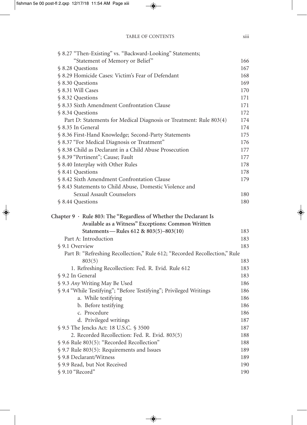| § 8.27 "Then-Existing" vs. "Backward-Looking" Statements;                                                                     |            |
|-------------------------------------------------------------------------------------------------------------------------------|------------|
| "Statement of Memory or Belief"                                                                                               | 166        |
| § 8.28 Questions                                                                                                              | 167        |
| § 8.29 Homicide Cases: Victim's Fear of Defendant                                                                             | 168        |
| § 8.30 Questions                                                                                                              | 169        |
| § 8.31 Will Cases                                                                                                             | 170        |
| § 8.32 Questions                                                                                                              | 171        |
| § 8.33 Sixth Amendment Confrontation Clause                                                                                   | 171        |
| § 8.34 Questions                                                                                                              | 172        |
| Part D: Statements for Medical Diagnosis or Treatment: Rule 803(4)                                                            | 174        |
| § 8.35 In General                                                                                                             | 174        |
| § 8.36 First-Hand Knowledge; Second-Party Statements                                                                          | 175        |
| § 8.37 "For Medical Diagnosis or Treatment"                                                                                   | 176        |
| § 8.38 Child as Declarant in a Child Abuse Prosecution                                                                        | 177        |
| § 8.39 "Pertinent"; Cause; Fault                                                                                              | 177        |
| § 8.40 Interplay with Other Rules                                                                                             | 178        |
| § 8.41 Questions                                                                                                              | 178        |
| § 8.42 Sixth Amendment Confrontation Clause                                                                                   | 179        |
| § 8.43 Statements to Child Abuse, Domestic Violence and                                                                       |            |
| Sexual Assault Counselors                                                                                                     | 180        |
| § 8.44 Questions                                                                                                              | 180        |
| Chapter $9 \cdot$ Rule 803: The "Regardless of Whether the Declarant Is<br>Available as a Witness" Exceptions: Common Written |            |
| Statements-Rules 612 & 803(5)-803(10)<br>Part A: Introduction                                                                 | 183        |
|                                                                                                                               | 183        |
| § 9.1 Overview                                                                                                                | 183        |
| Part B: "Refreshing Recollection," Rule 612; "Recorded Recollection," Rule                                                    |            |
| 803(5)                                                                                                                        | 183        |
| 1. Refreshing Recollection: Fed. R. Evid. Rule 612<br>§ 9.2 In General                                                        | 183        |
|                                                                                                                               | 183<br>186 |
| § 9.3 Any Writing May Be Used<br>§ 9.4 "While Testifying"; "Before Testifying"; Privileged Writings                           | 186        |
| a. While testifying                                                                                                           | 186        |
| b. Before testifying                                                                                                          | 186        |
| c. Procedure                                                                                                                  | 186        |
| d. Privileged writings                                                                                                        | 187        |
| § 9.5 The Jencks Act: 18 U.S.C. § 3500                                                                                        | 187        |
| 2. Recorded Recollection: Fed. R. Evid. 803(5)                                                                                | 188        |
| § 9.6 Rule 803(5): "Recorded Recollection"                                                                                    | 188        |
| § 9.7 Rule 803(5): Requirements and Issues                                                                                    | 189        |
| § 9.8 Declarant/Witness                                                                                                       | 189        |
| § 9.9 Read, but Not Received                                                                                                  | 190        |
| § 9.10 "Record"                                                                                                               | 190        |
|                                                                                                                               |            |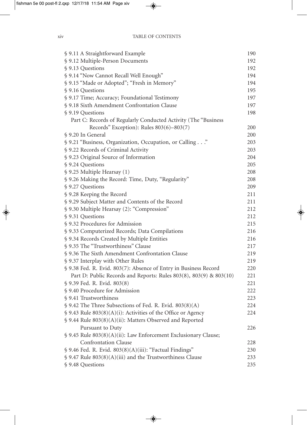| § 9.11 A Straightforward Example                                   | 190 |
|--------------------------------------------------------------------|-----|
| § 9.12 Multiple-Person Documents                                   | 192 |
| § 9.13 Questions                                                   | 192 |
| § 9.14 "Now Cannot Recall Well Enough"                             | 194 |
| § 9.15 "Made or Adopted"; "Fresh in Memory"                        | 194 |
| § 9.16 Questions                                                   | 195 |
| § 9.17 Time; Accuracy; Foundational Testimony                      | 197 |
| § 9.18 Sixth Amendment Confrontation Clause                        | 197 |
| § 9.19 Questions                                                   | 198 |
| Part C: Records of Regularly Conducted Activity (The "Business"    |     |
| Records" Exception): Rules 803(6)-803(7)                           | 200 |
| § 9.20 In General                                                  | 200 |
| § 9.21 "Business, Organization, Occupation, or Calling"            | 203 |
| § 9.22 Records of Criminal Activity                                | 203 |
| § 9.23 Original Source of Information                              | 204 |
| § 9.24 Questions                                                   | 205 |
| § 9.25 Multiple Hearsay (1)                                        | 208 |
| § 9.26 Making the Record: Time, Duty, "Regularity"                 | 208 |
| § 9.27 Questions                                                   | 209 |
| § 9.28 Keeping the Record                                          | 211 |
| § 9.29 Subject Matter and Contents of the Record                   | 211 |
| § 9.30 Multiple Hearsay (2): "Compression"                         | 212 |
| § 9.31 Questions                                                   | 212 |
| § 9.32 Procedures for Admission                                    | 215 |
| § 9.33 Computerized Records; Data Compilations                     | 216 |
| § 9.34 Records Created by Multiple Entities                        | 216 |
| § 9.35 The "Trustworthiness" Clause                                | 217 |
| § 9.36 The Sixth Amendment Confrontation Clause                    | 219 |
| § 9.37 Interplay with Other Rules                                  | 219 |
| § 9.38 Fed. R. Evid. 803(7): Absence of Entry in Business Record   | 220 |
| Part D: Public Records and Reports: Rules 803(8), 803(9) & 803(10) | 221 |
| § 9.39 Fed. R. Evid. 803(8)                                        | 221 |
| § 9.40 Procedure for Admission                                     | 222 |
| § 9.41 Trustworthiness                                             | 223 |
| $\$$ 9.42 The Three Subsections of Fed. R. Evid. 803(8)(A)         | 224 |
| § 9.43 Rule 803(8)(A)(i): Activities of the Office or Agency       | 224 |
| § 9.44 Rule 803(8)(A)(ii): Matters Observed and Reported           |     |
| Pursuant to Duty                                                   | 226 |
| § 9.45 Rule 803(8)(A)(ii): Law Enforcement Exclusionary Clause;    |     |
| <b>Confrontation Clause</b>                                        | 228 |
| § 9.46 Fed. R. Evid. 803(8)(A)(iii): "Factual Findings"            | 230 |
| $\$$ 9.47 Rule 803(8)(A)(iii) and the Trustworthiness Clause       | 233 |
| § 9.48 Questions                                                   | 235 |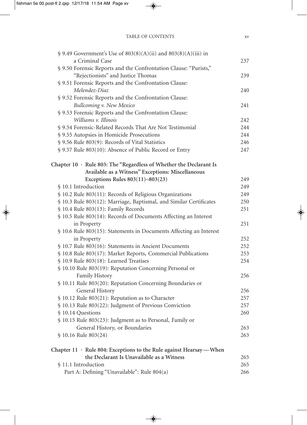| $$9.49$ Government's Use of $803(8)(A)(ii)$ and $803(8)(A)(iii)$ in        |     |
|----------------------------------------------------------------------------|-----|
| a Criminal Case                                                            | 237 |
| § 9.50 Forensic Reports and the Confrontation Clause: "Purists,"           |     |
| "Rejectionists" and Justice Thomas                                         | 239 |
| § 9.51 Forensic Reports and the Confrontation Clause:                      |     |
| Melendez-Diaz                                                              | 240 |
| § 9.52 Forensic Reports and the Confrontation Clause:                      |     |
| Bullcoming v. New Mexico                                                   | 241 |
| § 9.53 Forensic Reports and the Confrontation Clause:                      |     |
| Williams v. Illinois                                                       | 242 |
| § 9.54 Forensic-Related Records That Are Not Testimonial                   | 244 |
| § 9.55 Autopsies in Homicide Prosecutions                                  | 244 |
| § 9.56 Rule 803(9): Records of Vital Statistics                            | 246 |
| § 9.57 Rule 803(10): Absence of Public Record or Entry                     | 247 |
| Chapter $10 \cdot$ Rule 803: The "Regardless of Whether the Declarant Is   |     |
| Available as a Witness" Exceptions: Miscellaneous                          |     |
| Exceptions Rules $803(11) - 803(23)$                                       | 249 |
| § 10.1 Introduction                                                        | 249 |
| § 10.2 Rule 803(11): Records of Religious Organizations                    | 249 |
| § 10.3 Rule 803(12): Marriage, Baptismal, and Similar Certificates         | 250 |
| § 10.4 Rule 803(13): Family Records                                        | 251 |
| § 10.5 Rule 803(14): Records of Documents Affecting an Interest            |     |
| in Property                                                                | 251 |
| § 10.6 Rule 803(15): Statements in Documents Affecting an Interest         |     |
| in Property                                                                | 252 |
| § 10.7 Rule 803(16): Statements in Ancient Documents                       | 252 |
| § 10.8 Rule 803(17): Market Reports, Commercial Publications               | 253 |
| § 10.9 Rule 803(18): Learned Treatises                                     | 254 |
| § 10.10 Rule 803(19): Reputation Concerning Personal or                    |     |
| Family History                                                             | 256 |
| § 10.11 Rule 803(20): Reputation Concerning Boundaries or                  |     |
| General History                                                            | 256 |
| § 10.12 Rule 803(21): Reputation as to Character                           | 257 |
| § 10.13 Rule 803(22): Judgment of Previous Conviction                      | 257 |
| § 10.14 Questions                                                          | 260 |
| § 10.15 Rule 803(23): Judgment as to Personal, Family or                   |     |
| General History, or Boundaries                                             | 263 |
| § 10.16 Rule 803(24)                                                       | 263 |
| Chapter $11 \cdot$ Rule 804: Exceptions to the Rule against Hearsay — When |     |
| the Declarant Is Unavailable as a Witness                                  | 265 |
| § 11.1 Introduction                                                        | 265 |
| Part A: Defining "Unavailable": Rule 804(a)                                | 266 |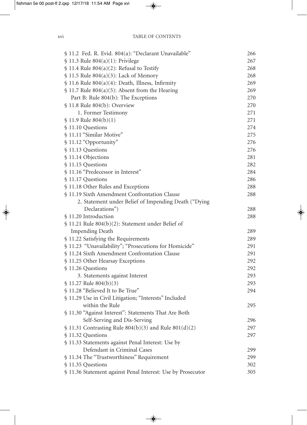| § 11.2 Fed. R. Evid. 804(a): "Declarant Unavailable"        | 266 |
|-------------------------------------------------------------|-----|
| $$11.3$ Rule 804(a)(1): Privilege                           | 267 |
| $$11.4$ Rule 804(a)(2): Refusal to Testify                  | 268 |
| $$11.5$ Rule 804(a)(3): Lack of Memory                      | 268 |
| $$11.6$ Rule 804(a)(4): Death, Illness, Infirmity           | 269 |
| $$11.7$ Rule 804(a)(5): Absent from the Hearing             | 269 |
| Part B: Rule 804(b): The Exceptions                         | 270 |
| § 11.8 Rule 804(b): Overview                                | 270 |
| 1. Former Testimony                                         | 271 |
| $$11.9$ Rule $804(b)(1)$                                    | 271 |
| § 11.10 Questions                                           | 274 |
| § 11.11 "Similar Motive"                                    | 275 |
| § 11.12 "Opportunity"                                       | 276 |
| § 11.13 Questions                                           | 276 |
| § 11.14 Objections                                          | 281 |
| § 11.15 Questions                                           | 282 |
| § 11.16 "Predecessor in Interest"                           | 284 |
| § 11.17 Questions                                           | 286 |
| § 11.18 Other Rules and Exceptions                          | 288 |
| § 11.19 Sixth Amendment Confrontation Clause                | 288 |
| 2. Statement under Belief of Impending Death ("Dying        |     |
| Declarations")                                              | 288 |
| § 11.20 Introduction                                        | 288 |
| § 11.21 Rule 804(b)(2): Statement under Belief of           |     |
| <b>Impending Death</b>                                      | 289 |
| § 11.22 Satisfying the Requirements                         | 289 |
| § 11.23 "Unavailability"; "Prosecutions for Homicide"       | 291 |
| § 11.24 Sixth Amendment Confrontation Clause                | 291 |
| § 11.25 Other Hearsay Exceptions                            | 292 |
| § 11.26 Questions                                           | 292 |
| 3. Statements against Interest                              | 293 |
| $$11.27$ Rule 804(b)(3)                                     | 293 |
| § 11.28 "Believed It to Be True"                            | 294 |
| § 11.29 Use in Civil Litigation; "Interests" Included       |     |
| within the Rule                                             | 295 |
| § 11.30 "Against Interest": Statements That Are Both        |     |
| Self-Serving and Dis-Serving                                | 296 |
| $$11.31$ Contrasting Rule 804(b)(3) and Rule 801(d)(2)      | 297 |
| § 11.32 Questions                                           | 297 |
| § 11.33 Statements against Penal Interest: Use by           |     |
| Defendant in Criminal Cases                                 | 299 |
| § 11.34 The "Trustworthiness" Requirement                   | 299 |
| § 11.35 Questions                                           | 302 |
| § 11.36 Statement against Penal Interest: Use by Prosecutor | 305 |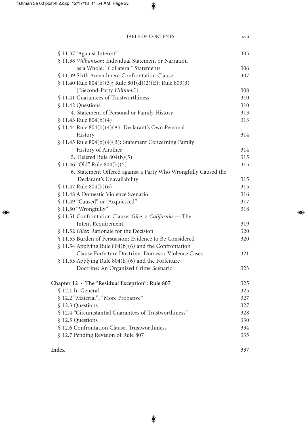| § 11.37 "Against Interest"                                     | 305 |
|----------------------------------------------------------------|-----|
| § 11.38 Williamson: Individual Statement or Narration          |     |
| as a Whole; "Collateral" Statements                            | 306 |
| § 11.39 Sixth Amendment Confrontation Clause                   | 307 |
| $$11.40$ Rule 804(b)(3); Rule 801(d)(2)(E); Rule 803(3)        |     |
| ("Second-Party Hillmon")                                       | 308 |
| § 11.41 Guarantees of Trustworthiness                          | 310 |
| § 11.42 Questions                                              | 310 |
| 4. Statement of Personal or Family History                     | 313 |
| $$11.43$ Rule $804(b)(4)$                                      | 313 |
| § 11.44 Rule 804(b)(4)(A): Declarant's Own Personal            |     |
| History                                                        | 314 |
| § 11.45 Rule 804(b)(4)(B): Statement Concerning Family         |     |
| History of Another                                             | 314 |
| 5. Deleted Rule 804(b)(5)                                      | 315 |
| § 11.46 "Old" Rule 804(b)(5)                                   | 315 |
| 6. Statement Offered against a Party Who Wrongfully Caused the |     |
| Declarant's Unavailability                                     | 315 |
| $$11.47$ Rule 804(b)(6)                                        | 315 |
| § 11.48 A Domestic Violence Scenario                           | 316 |
| § 11.49 "Caused" or "Acquiesced"                               | 317 |
| § 11.50 "Wrongfully"                                           | 318 |
| § 11.51 Confrontation Clause: Giles v. California - The        |     |
| Intent Requirement                                             | 319 |
| § 11.52 Giles: Rationale for the Decision                      | 320 |
| § 11.53 Burden of Persuasion; Evidence to Be Considered        | 320 |
| $$11.54$ Applying Rule 804(b)(6) and the Confrontation         |     |
| Clause Forfeiture Doctrine: Domestic Violence Cases            | 321 |
| § 11.55 Applying Rule 804(b)(6) and the Forfeiture             |     |
| Doctrine: An Organized Crime Scenario                          | 323 |
| Chapter 12 · The "Residual Exception": Rule 807                | 325 |
| § 12.1 In General                                              | 325 |
| § 12.2 "Material"; "More Probative"                            | 327 |
| § 12.3 Questions                                               | 327 |
| § 12.4 "Circumstantial Guarantees of Trustworthiness"          | 328 |
| § 12.5 Questions                                               | 330 |
| § 12.6 Confrontation Clause; Trustworthiness                   | 334 |
| § 12.7 Pending Revision of Rule 807                            | 335 |
|                                                                |     |
|                                                                |     |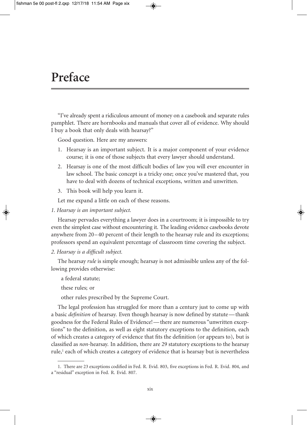#### **Preface**

"I've already spent a ridiculous amount of money on a casebook and separate rules pamphlet. There are hornbooks and manuals that cover all of evidence. Why should I buy a book that only deals with hearsay?"

Good question. Here are my answers:

- 1. Hearsay is an important subject. It is a major component of your evidence course; it is one of those subjects that every lawyer should understand.
- 2. Hearsay is one of the most difficult bodies of law you will ever encounter in law school. The basic concept is a tricky one; once you've mastered that, you have to deal with dozens of technical exceptions, written and unwritten.
- 3. This book will help you learn it.

Let me expand a little on each of these reasons.

*1. Hearsay is an important subject.*

Hearsay pervades everything a lawyer does in a courtroom; it is impossible to try even the simplest case without encountering it. The leading evidence casebooks devote anywhere from 20–40 percent of their length to the hearsay rule and its exceptions; professors spend an equivalent percentage of classroom time covering the subject.

*2. Hearsay is a difficult subject.*

The hearsay *rule* is simple enough; hearsay is not admissible unless any of the following provides otherwise:

a federal statute;

these rules; or

other rules prescribed by the Supreme Court.

The legal profession has struggled for more than a century just to come up with a basic *definition* of hearsay. Even though hearsay is now defined by statute—thank goodness for the Federal Rules of Evidence!—there are numerous "unwritten exceptions" to the definition, as well as eight statutory exceptions to the definition, each of which creates a category of evidence that fits the definition (or appears to), but is classified as *non*-hearsay. In addition, there are 29 statutory exceptions to the hearsay rule, <sup>1</sup> each of which creates a category of evidence that is hearsay but is nevertheless

<sup>1.</sup> There are 23 exceptions codified in Fed. R. Evid. 803, five exceptions in Fed. R. Evid. 804, and a "residual" exception in Fed. R. Evid. 807.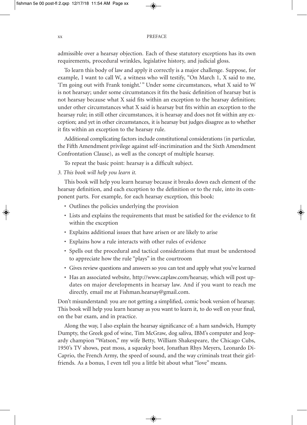admissible over a hearsay objection. Each of these statutory exceptions has its own requirements, procedural wrinkles, legislative history, and judicial gloss.

To learn this body of law and apply it correctly is a major challenge. Suppose, for example, I want to call W, a witness who will testify, "On March 1, X said to me, 'I'm going out with Frank tonight.'" Under some circumstances, what X said to W is not hearsay; under some circumstances it fits the basic definition of hearsay but is not hearsay because what X said fits within an exception to the hearsay definition; under other circumstances what X said is hearsay but fits within an exception to the hearsay rule; in still other circumstances, it is hearsay and does not fit within any exception; and yet in other circumstances, it is hearsay but judges disagree as to whether it fits within an exception to the hearsay rule.

Additional complicating factors include constitutional considerations (in particular, the Fifth Amendment privilege against self-incrimination and the Sixth Amendment Confrontation Clause), as well as the concept of multiple hearsay.

To repeat the basic point: hearsay is a difficult subject.

#### *3. This book will help you learn it.*

This book will help you learn hearsay because it breaks down each element of the hearsay definition, and each exception to the definition or to the rule, into its component parts. For example, for each hearsay exception, this book:

- Outlines the policies underlying the provision
- Lists and explains the requirements that must be satisfied for the evidence to fit within the exception
- Explains additional issues that have arisen or are likely to arise
- Explains how a rule interacts with other rules of evidence
- Spells out the procedural and tactical considerations that must be understood to appreciate how the rule "plays" in the courtroom
- Gives review questions and answers so you can test and apply what you've learned
- Has an associated website, http://www.caplaw.com/hearsay, which will post updates on major developments in hearsay law. And if you want to reach me directly, email me at Fishman.hearsay@gmail.com.

Don't misunderstand: you are not getting a simplified, comic book version of hearsay. This book will help you learn hearsay as you want to learn it, to do well on your final, on the bar exam, and in practice.

Along the way, I also explain the hearsay significance of: a ham sandwich, Humpty Dumpty, the Greek god of wine, Tim McGraw, dog saliva, IBM's computer and Jeopardy champion "Watson," my wife Betty, William Shakespeare, the Chicago Cubs, 1950's TV shows, peat moss, a squeaky boot, Jonathan Rhys Meyers, Leonardo Di-Caprio, the French Army, the speed of sound, and the way criminals treat their girlfriends. As a bonus, I even tell you a little bit about what "love" means.